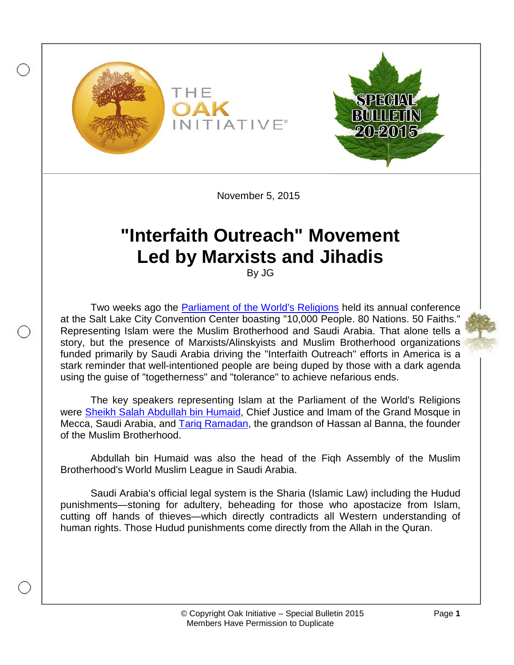

November 5, 2015

# **"Interfaith Outreach" Movement Led by Marxists and Jihadis**

By JG

Two weeks ago the [Parliament of the World's Religions](http://www.parliamentofreligions.org/) held its annual conference at the Salt Lake City Convention Center boasting "10,000 People. 80 Nations. 50 Faiths." Representing Islam were the Muslim Brotherhood and Saudi Arabia. That alone tells a story, but the presence of Marxists/Alinskyists and Muslim Brotherhood organizations funded primarily by Saudi Arabia driving the "Interfaith Outreach" efforts in America is a stark reminder that well-intentioned people are being duped by those with a dark agenda using the guise of "togetherness" and "tolerance" to achieve nefarious ends.

The key speakers representing Islam at the Parliament of the World's Religions were Sheikh Salah [Abdullah bin Humaid,](https://www.shura.gov.sa/wps/wcm/connect/ShuraEn/internet/CV/Dr.+Saleh+bin+Abdullah+bin+Humaid) Chief Justice and Imam of the Grand Mosque in Mecca, Saudi Arabia, and [Tariq Ramadan,](http://www.investigativeproject.org/profile/111/tariq-ramadan) the grandson of Hassan al Banna, the founder of the Muslim Brotherhood.

Abdullah bin Humaid was also the head of the Fiqh Assembly of the Muslim Brotherhood's World Muslim League in Saudi Arabia.

Saudi Arabia's official legal system is the Sharia (Islamic Law) including the Hudud punishments—stoning for adultery, beheading for those who apostacize from Islam, cutting off hands of thieves—which directly contradicts all Western understanding of human rights. Those Hudud punishments come directly from the Allah in the Quran.

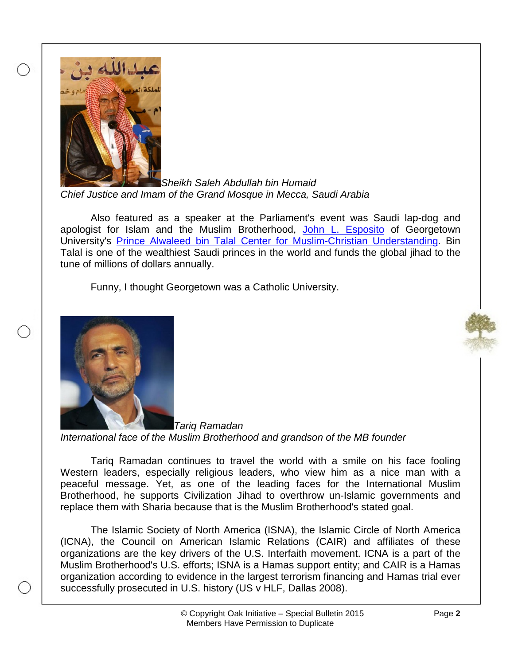

*Sheikh Saleh Abdullah bin Humaid Chief Justice and Imam of the Grand Mosque in Mecca, Saudi Arabia*

Also featured as a speaker at the Parliament's event was Saudi lap-dog and apologist for Islam and the Muslim Brotherhood, [John L. Esposito](http://www.globalmbwatch.com/wiki/john-esposito/) of Georgetown University's [Prince Alwaleed bin Talal Center for Muslim-Christian Understanding.](https://acmcu.georgetown.edu/) Bin Talal is one of the wealthiest Saudi princes in the world and funds the global jihad to the tune of millions of dollars annually.

Funny, I thought Georgetown was a Catholic University.



*Tariq Ramadan International face of the Muslim Brotherhood and grandson of the MB founder*

Tariq Ramadan continues to travel the world with a smile on his face fooling Western leaders, especially religious leaders, who view him as a nice man with a peaceful message. Yet, as one of the leading faces for the International Muslim Brotherhood, he supports Civilization Jihad to overthrow un-Islamic governments and replace them with Sharia because that is the Muslim Brotherhood's stated goal.

The Islamic Society of North America (ISNA), the Islamic Circle of North America (ICNA), the Council on American Islamic Relations (CAIR) and affiliates of these organizations are the key drivers of the U.S. Interfaith movement. ICNA is a part of the Muslim Brotherhood's U.S. efforts; ISNA is a Hamas support entity; and CAIR is a Hamas organization according to evidence in the largest terrorism financing and Hamas trial ever successfully prosecuted in U.S. history (US v HLF, Dallas 2008).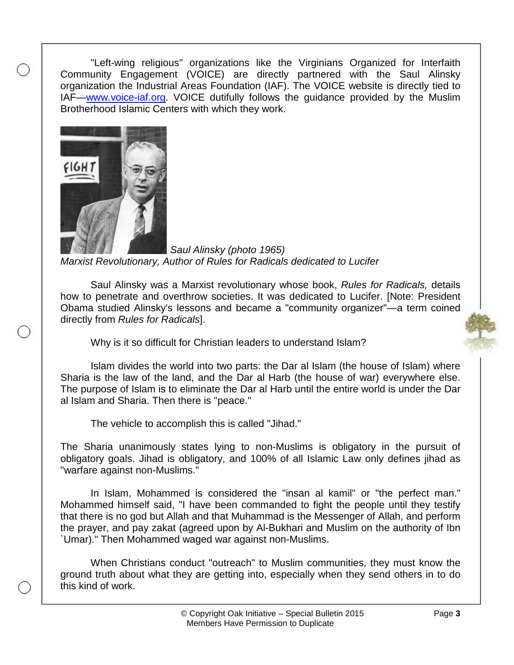"Left-wing religious" organizations like the Virginians Organized for Interfaith Community Engagement (VOICE) are directly partnered with the Saul Alinsky organization the Industrial Areas Foundation (IAF). The VOICE website is directly tied to IAF—www.voice-iaf.org. VOICE dutifully follows the guidance provided by the Muslim Brotherhood Islamic Centers with which they work.



*Saul Alinsky (photo 1965) Marxist Revolutionary, Author of Rules for Radicals dedicated to Lucifer*

Saul Alinsky was a Marxist revolutionary whose book, *Rules for Radicals,* details how to penetrate and overthrow societies. It was dedicated to Lucifer. [Note: President Obama studied Alinsky's lessons and became a "community organizer"—a term coined directly from *Rules for Radicals*].



Why is it so difficult for Christian leaders to understand Islam?

Islam divides the world into two parts: the Dar al Islam (the house of Islam) where Sharia is the law of the land, and the Dar al Harb (the house of war) everywhere else. The purpose of Islam is to eliminate the Dar al Harb until the entire world is under the Dar al Islam and Sharia. Then there is "peace."

The vehicle to accomplish this is called "Jihad."

The Sharia unanimously states lying to non-Muslims is obligatory in the pursuit of obligatory goals. Jihad is obligatory, and 100% of all Islamic Law only defines jihad as "warfare against non-Muslims."

In Islam, Mohammed is considered the "insan al kamil" or "the perfect man." Mohammed himself said, "I have been commanded to fight the people until they testify that there is no god but Allah and that Muhammad is the Messenger of Allah, and perform the prayer, and pay zakat (agreed upon by Al-Bukhari and Muslim on the authority of Ibn `Umar)." Then Mohammed waged war against non-Muslims.

When Christians conduct "outreach" to Muslim communities, they must know the ground truth about what they are getting into, especially when they send others in to do this kind of work.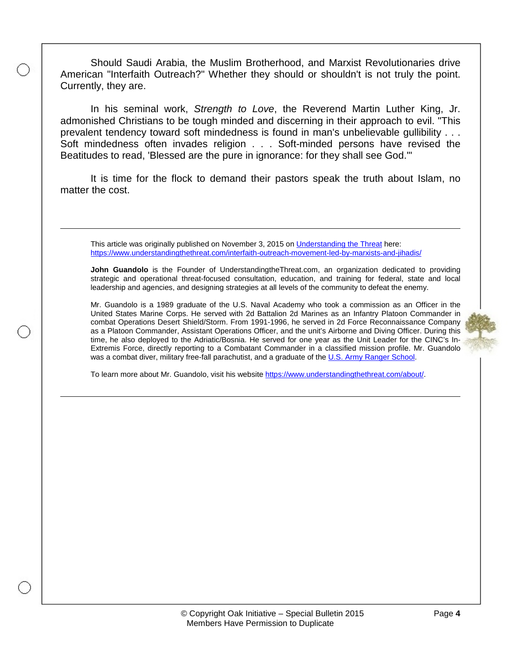Should Saudi Arabia, the Muslim Brotherhood, and Marxist Revolutionaries drive American "Interfaith Outreach?" Whether they should or shouldn't is not truly the point. Currently, they are.

In his seminal work, *Strength to Love*, the Reverend Martin Luther King, Jr. admonished Christians to be tough minded and discerning in their approach to evil. "This prevalent tendency toward soft mindedness is found in man's unbelievable gullibility . . . Soft mindedness often invades religion . . . Soft-minded persons have revised the Beatitudes to read, 'Blessed are the pure in ignorance: for they shall see God.'"

It is time for the flock to demand their pastors speak the truth about Islam, no matter the cost.

This article was originally published on November 3, 2015 on [Understanding the Threat](https://www.understandingthethreat.com/) here: <https://www.understandingthethreat.com/interfaith-outreach-movement-led-by-marxists-and-jihadis/>

**John Guandolo** is the Founder of UnderstandingtheThreat.com, an organization dedicated to providing strategic and operational threat-focused consultation, education, and training for federal, state and local leadership and agencies, and designing strategies at all levels of the community to defeat the enemy.

Mr. Guandolo is a 1989 graduate of the U.S. Naval Academy who took a commission as an Officer in the United States Marine Corps. He served with 2d Battalion 2d Marines as an Infantry Platoon Commander in combat Operations Desert Shield/Storm. From 1991-1996, he served in 2d Force Reconnaissance Company as a Platoon Commander, Assistant Operations Officer, and the unit's Airborne and Diving Officer. During this time, he also deployed to the Adriatic/Bosnia. He served for one year as the Unit Leader for the CINC's In-Extremis Force, directly reporting to a Combatant Commander in a classified mission profile. Mr. Guandolo was a combat diver, military free-fall parachutist, and a graduate of the [U.S. Army Ranger School.](https://en.wikipedia.org/wiki/Ranger_School)

To learn more about Mr. Guandolo, visit his website [https://www.understandingthethreat.com/about/.](https://www.understandingthethreat.com/about/)



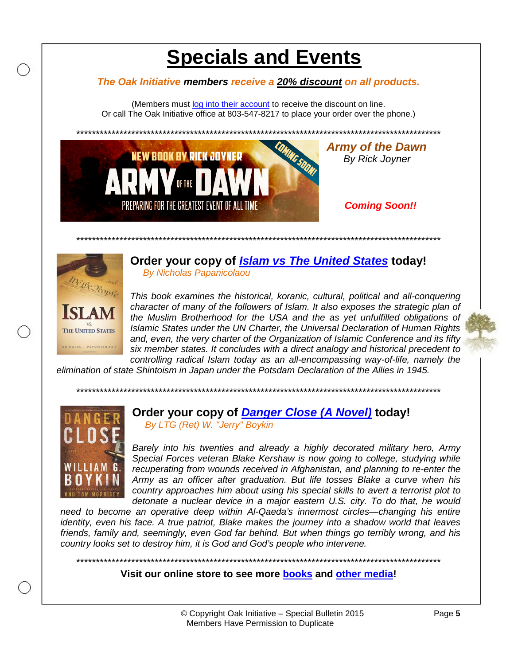# **Specials and Events**

### The Oak Initiative members receive a 20% discount on all products.

(Members must log into their account to receive the discount on line. Or call The Oak Initiative office at 803-547-8217 to place your order over the phone.)



**Army of the Dawn By Rick Joyner** 

## **Coming Soon!!**



Order your copy of *Islam vs The United States* today! **By Nicholas Papanicolaou** 

This book examines the historical, koranic, cultural, political and all-conquering character of many of the followers of Islam. It also exposes the strategic plan of the Muslim Brotherhood for the USA and the as yet unfulfilled obligations of Islamic States under the UN Charter, the Universal Declaration of Human Rights and, even, the very charter of the Organization of Islamic Conference and its fifty six member states. It concludes with a direct analogy and historical precedent to controlling radical Islam today as an all-encompassing way-of-life, namely the





### Order your copy of Danger Close (A Novel) today! By LTG (Ret) W. "Jerry" Boykin

Barely into his twenties and already a highly decorated military hero, Army Special Forces veteran Blake Kershaw is now going to college, studying while recuperating from wounds received in Afghanistan, and planning to re-enter the Army as an officer after graduation. But life tosses Blake a curve when his country approaches him about using his special skills to avert a terrorist plot to

detonate a nuclear device in a major eastern U.S. city. To do that, he would need to become an operative deep within Al-Qaeda's innermost circles-changing his entire identity, even his face. A true patriot, Blake makes the journey into a shadow world that leaves friends, family and, seemingly, even God far behind. But when things go terribly wrong, and his

### Visit our online store to see more books and other media!

country looks set to destroy him, it is God and God's people who intervene.